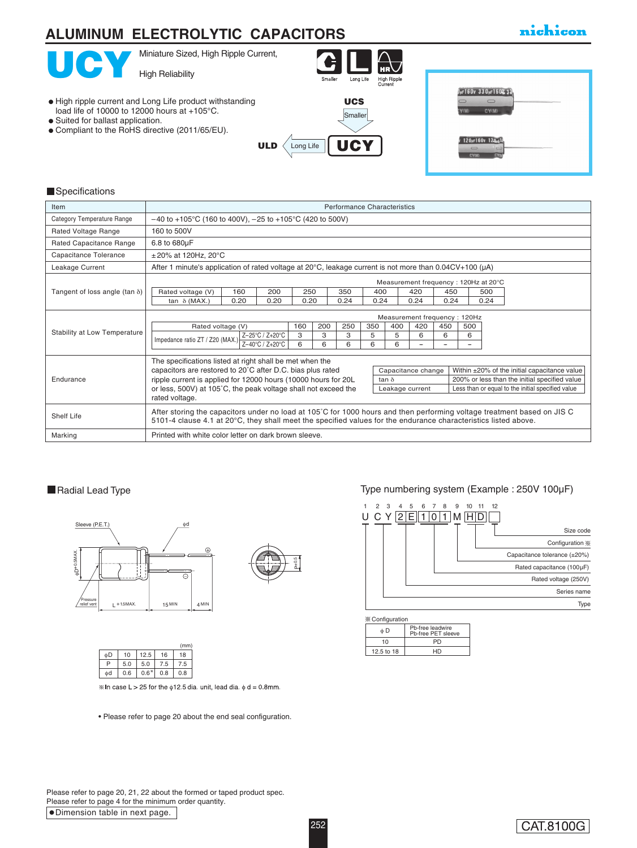# **ALUMINUM ELECTROLYTIC CAPACITORS**

## nichicon



#### **Specifications**

| Item                                  | <b>Performance Characteristics</b>                                                                                                                                                                                                         |                                                                                                                         |                 |      |     |      |     |                    |                                       |      |                                              |      |  |  |  |
|---------------------------------------|--------------------------------------------------------------------------------------------------------------------------------------------------------------------------------------------------------------------------------------------|-------------------------------------------------------------------------------------------------------------------------|-----------------|------|-----|------|-----|--------------------|---------------------------------------|------|----------------------------------------------|------|--|--|--|
| Category Temperature Range            | $-40$ to +105°C (160 to 400V), $-25$ to +105°C (420 to 500V)                                                                                                                                                                               |                                                                                                                         |                 |      |     |      |     |                    |                                       |      |                                              |      |  |  |  |
| Rated Voltage Range                   | 160 to 500V                                                                                                                                                                                                                                |                                                                                                                         |                 |      |     |      |     |                    |                                       |      |                                              |      |  |  |  |
| Rated Capacitance Range               | 6.8 to 680µF                                                                                                                                                                                                                               |                                                                                                                         |                 |      |     |      |     |                    |                                       |      |                                              |      |  |  |  |
| Capacitance Tolerance                 | $\pm 20\%$ at 120Hz, 20°C                                                                                                                                                                                                                  |                                                                                                                         |                 |      |     |      |     |                    |                                       |      |                                              |      |  |  |  |
| Leakage Current                       |                                                                                                                                                                                                                                            | After 1 minute's application of rated voltage at 20 $\degree$ C, leakage current is not more than 0.04CV+100 ( $\mu$ A) |                 |      |     |      |     |                    |                                       |      |                                              |      |  |  |  |
|                                       |                                                                                                                                                                                                                                            |                                                                                                                         |                 |      |     |      |     |                    | Measurement frequency : 120Hz at 20°C |      |                                              |      |  |  |  |
| Tangent of loss angle (tan $\delta$ ) | Rated voltage (V)                                                                                                                                                                                                                          | 160                                                                                                                     | 200             |      | 250 | 350  |     | 400                | 420                                   |      | 450<br>500                                   |      |  |  |  |
|                                       | tan $\delta$ (MAX.)                                                                                                                                                                                                                        | 0.20                                                                                                                    | 0.20            | 0.20 |     | 0.24 |     | 0.24               | 0.24                                  | 0.24 |                                              | 0.24 |  |  |  |
|                                       | Measurement frequency: 120Hz                                                                                                                                                                                                               |                                                                                                                         |                 |      |     |      |     |                    |                                       |      |                                              |      |  |  |  |
|                                       | Rated voltage (V)                                                                                                                                                                                                                          |                                                                                                                         |                 |      | 200 | 250  | 350 | 400<br>420         |                                       | 450  | 500                                          |      |  |  |  |
| Stability at Low Temperature          | Impedance ratio ZT / Z20 (MAX.)                                                                                                                                                                                                            |                                                                                                                         | Z-25°C / Z+20°C |      | 3   | 3    | 5   | 5                  | 6                                     | 6    | 6                                            |      |  |  |  |
|                                       |                                                                                                                                                                                                                                            |                                                                                                                         | Z-40°C / Z+20°C | 6    | 6   | 6    | 6   | 6                  | -                                     |      | $\overline{\phantom{a}}$                     |      |  |  |  |
|                                       | The specifications listed at right shall be met when the                                                                                                                                                                                   |                                                                                                                         |                 |      |     |      |     |                    |                                       |      |                                              |      |  |  |  |
|                                       | capacitors are restored to 20°C after D.C. bias plus rated                                                                                                                                                                                 |                                                                                                                         |                 |      |     |      |     | Capacitance change |                                       |      | Within ±20% of the initial capacitance value |      |  |  |  |
| Endurance                             | ripple current is applied for 12000 hours (10000 hours for 20L<br>200% or less than the initial specified value<br>tan $\delta$                                                                                                            |                                                                                                                         |                 |      |     |      |     |                    |                                       |      |                                              |      |  |  |  |
|                                       | or less, 500V) at 105°C, the peak voltage shall not exceed the<br>Less than or equal to the initial specified value<br>Leakage current<br>rated voltage.                                                                                   |                                                                                                                         |                 |      |     |      |     |                    |                                       |      |                                              |      |  |  |  |
| Shelf Life                            | After storing the capacitors under no load at 105°C for 1000 hours and then performing voltage treatment based on JIS C<br>5101-4 clause 4.1 at 20°C, they shall meet the specified values for the endurance characteristics listed above. |                                                                                                                         |                 |      |     |      |     |                    |                                       |      |                                              |      |  |  |  |
| Marking                               | Printed with white color letter on dark brown sleeve.                                                                                                                                                                                      |                                                                                                                         |                 |      |     |      |     |                    |                                       |      |                                              |      |  |  |  |

#### Radial Lead Type





|    |     |           |     | (mm) |
|----|-----|-----------|-----|------|
| óD | 10  | 12.5      | 16  | 18   |
| P  | 5.0 | 5.0       | 7.5 | 7.5  |
| фd | 0.6 | $0.6^{*}$ | 0.8 | 0.8  |

<sup>※</sup> In case L > 25 for the  $φ12.5$  dia. unit, lead dia.  $φ d = 0.8$ mm.

• Please refer to page 20 about the end seal configuration.

#### Type numbering system (Example : 250V 100µF)



| $\infty$ Comiquiation |                                        |  |  |  |  |  |  |  |  |  |
|-----------------------|----------------------------------------|--|--|--|--|--|--|--|--|--|
| óЮ                    | Pb-free leadwire<br>Pb-free PET sleeve |  |  |  |  |  |  |  |  |  |
| 10                    | PD                                     |  |  |  |  |  |  |  |  |  |
| 12.5 to 18            | HD                                     |  |  |  |  |  |  |  |  |  |
|                       |                                        |  |  |  |  |  |  |  |  |  |

Dimension table in next page. Please refer to page 20, 21, 22 about the formed or taped product spec. Please refer to page 4 for the minimum order quantity.

### CAT.8100G